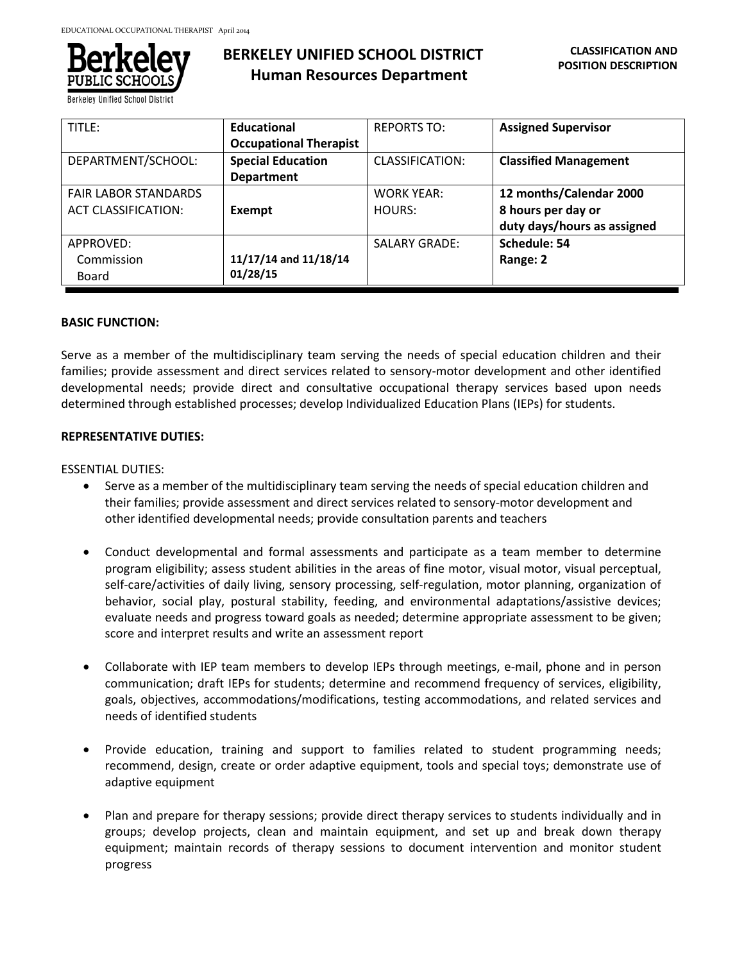

**Berkeley Unified School Dist** 

| TITLE:                      | <b>Educational</b>            | <b>REPORTS TO:</b>   | <b>Assigned Supervisor</b>   |
|-----------------------------|-------------------------------|----------------------|------------------------------|
|                             | <b>Occupational Therapist</b> |                      |                              |
| DEPARTMENT/SCHOOL:          | <b>Special Education</b>      | CLASSIFICATION:      | <b>Classified Management</b> |
|                             | <b>Department</b>             |                      |                              |
| <b>FAIR LABOR STANDARDS</b> |                               | <b>WORK YEAR:</b>    | 12 months/Calendar 2000      |
| <b>ACT CLASSIFICATION:</b>  | Exempt                        | HOURS:               | 8 hours per day or           |
|                             |                               |                      | duty days/hours as assigned  |
| APPROVED:                   |                               | <b>SALARY GRADE:</b> | Schedule: 54                 |
| Commission                  | 11/17/14 and 11/18/14         |                      | Range: 2                     |
| Board                       | 01/28/15                      |                      |                              |

### **BASIC FUNCTION:**

Serve as a member of the multidisciplinary team serving the needs of special education children and their families; provide assessment and direct services related to sensory-motor development and other identified developmental needs; provide direct and consultative occupational therapy services based upon needs determined through established processes; develop Individualized Education Plans (IEPs) for students.

### **REPRESENTATIVE DUTIES:**

ESSENTIAL DUTIES:

- Serve as a member of the multidisciplinary team serving the needs of special education children and their families; provide assessment and direct services related to sensory-motor development and other identified developmental needs; provide consultation parents and teachers
- Conduct developmental and formal assessments and participate as a team member to determine program eligibility; assess student abilities in the areas of fine motor, visual motor, visual perceptual, self-care/activities of daily living, sensory processing, self-regulation, motor planning, organization of behavior, social play, postural stability, feeding, and environmental adaptations/assistive devices; evaluate needs and progress toward goals as needed; determine appropriate assessment to be given; score and interpret results and write an assessment report
- Collaborate with IEP team members to develop IEPs through meetings, e-mail, phone and in person communication; draft IEPs for students; determine and recommend frequency of services, eligibility, goals, objectives, accommodations/modifications, testing accommodations, and related services and needs of identified students
- Provide education, training and support to families related to student programming needs; recommend, design, create or order adaptive equipment, tools and special toys; demonstrate use of adaptive equipment
- Plan and prepare for therapy sessions; provide direct therapy services to students individually and in groups; develop projects, clean and maintain equipment, and set up and break down therapy equipment; maintain records of therapy sessions to document intervention and monitor student progress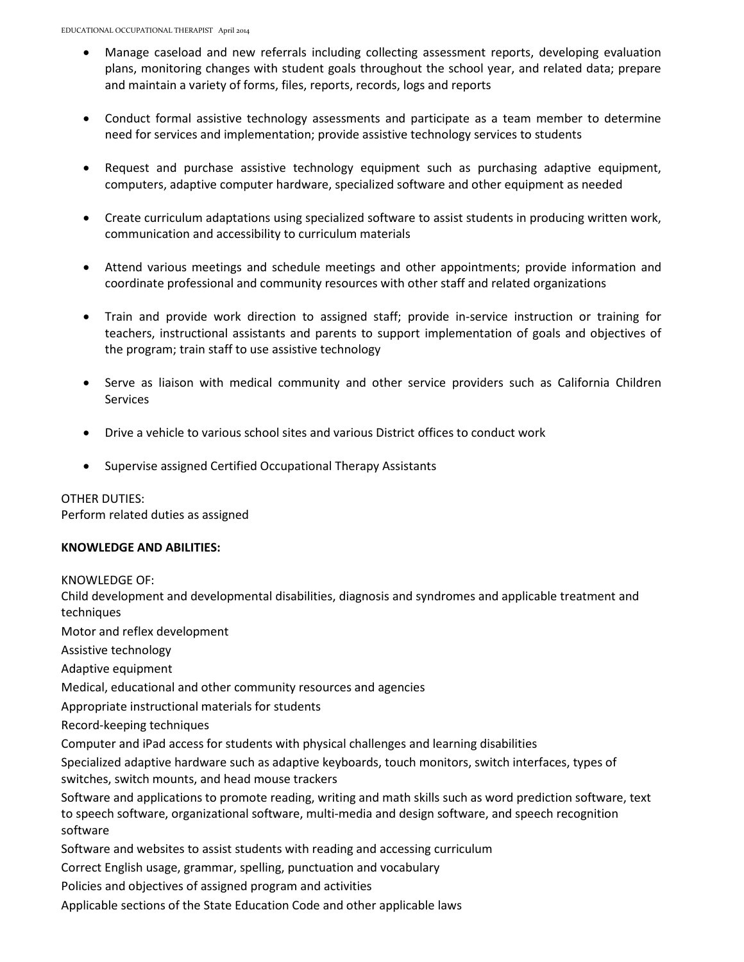- Manage caseload and new referrals including collecting assessment reports, developing evaluation plans, monitoring changes with student goals throughout the school year, and related data; prepare and maintain a variety of forms, files, reports, records, logs and reports
- Conduct formal assistive technology assessments and participate as a team member to determine need for services and implementation; provide assistive technology services to students
- Request and purchase assistive technology equipment such as purchasing adaptive equipment, computers, adaptive computer hardware, specialized software and other equipment as needed
- Create curriculum adaptations using specialized software to assist students in producing written work, communication and accessibility to curriculum materials
- Attend various meetings and schedule meetings and other appointments; provide information and coordinate professional and community resources with other staff and related organizations
- Train and provide work direction to assigned staff; provide in-service instruction or training for teachers, instructional assistants and parents to support implementation of goals and objectives of the program; train staff to use assistive technology
- Serve as liaison with medical community and other service providers such as California Children **Services**
- Drive a vehicle to various school sites and various District offices to conduct work
- Supervise assigned Certified Occupational Therapy Assistants

OTHER DUTIES: Perform related duties as assigned

### **KNOWLEDGE AND ABILITIES:**

KNOWLEDGE OF:

Child development and developmental disabilities, diagnosis and syndromes and applicable treatment and techniques

Motor and reflex development

Assistive technology

Adaptive equipment

Medical, educational and other community resources and agencies

Appropriate instructional materials for students

Record-keeping techniques

Computer and iPad access for students with physical challenges and learning disabilities

Specialized adaptive hardware such as adaptive keyboards, touch monitors, switch interfaces, types of switches, switch mounts, and head mouse trackers

Software and applications to promote reading, writing and math skills such as word prediction software, text to speech software, organizational software, multi-media and design software, and speech recognition software

Software and websites to assist students with reading and accessing curriculum

Correct English usage, grammar, spelling, punctuation and vocabulary

Policies and objectives of assigned program and activities

Applicable sections of the State Education Code and other applicable laws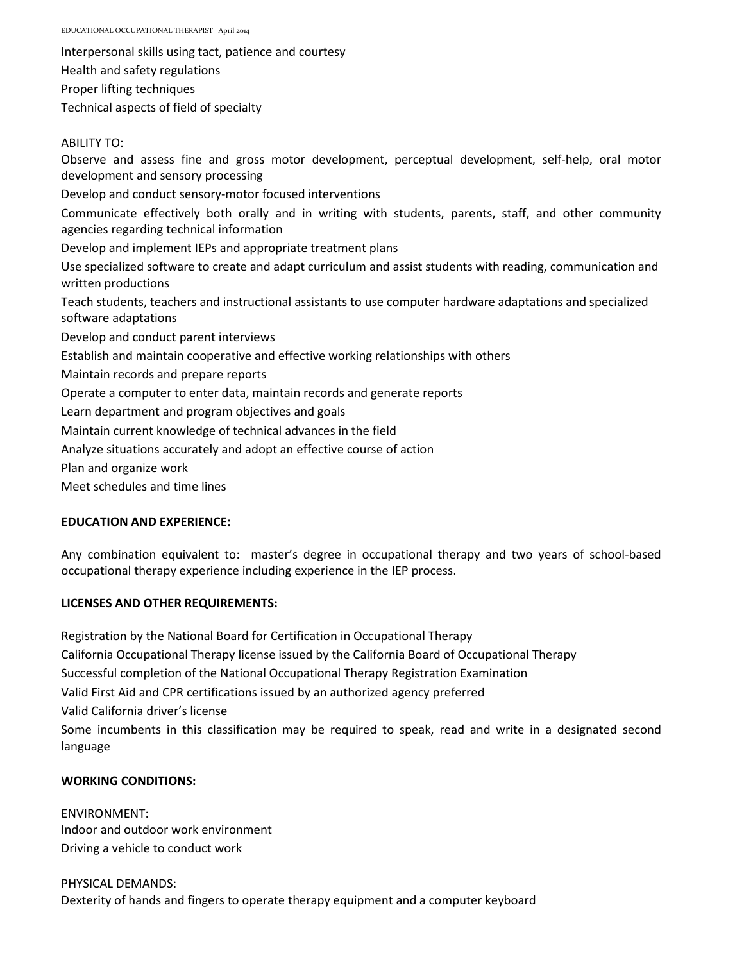EDUCATIONAL OCCUPATIONAL THERAPIST April 2014

Interpersonal skills using tact, patience and courtesy Health and safety regulations Proper lifting techniques

Technical aspects of field of specialty

ABILITY TO:

Observe and assess fine and gross motor development, perceptual development, self-help, oral motor development and sensory processing Develop and conduct sensory-motor focused interventions Communicate effectively both orally and in writing with students, parents, staff, and other community agencies regarding technical information Develop and implement IEPs and appropriate treatment plans Use specialized software to create and adapt curriculum and assist students with reading, communication and written productions Teach students, teachers and instructional assistants to use computer hardware adaptations and specialized software adaptations Develop and conduct parent interviews Establish and maintain cooperative and effective working relationships with others Maintain records and prepare reports Operate a computer to enter data, maintain records and generate reports Learn department and program objectives and goals Maintain current knowledge of technical advances in the field Analyze situations accurately and adopt an effective course of action Plan and organize work Meet schedules and time lines

# **EDUCATION AND EXPERIENCE:**

Any combination equivalent to: master's degree in occupational therapy and two years of school-based occupational therapy experience including experience in the IEP process.

# **LICENSES AND OTHER REQUIREMENTS:**

Registration by the National Board for Certification in Occupational Therapy California Occupational Therapy license issued by the California Board of Occupational Therapy Successful completion of the National Occupational Therapy Registration Examination Valid First Aid and CPR certifications issued by an authorized agency preferred Valid California driver's license Some incumbents in this classification may be required to speak, read and write in a designated second language

# **WORKING CONDITIONS:**

ENVIRONMENT: Indoor and outdoor work environment Driving a vehicle to conduct work

PHYSICAL DEMANDS: Dexterity of hands and fingers to operate therapy equipment and a computer keyboard